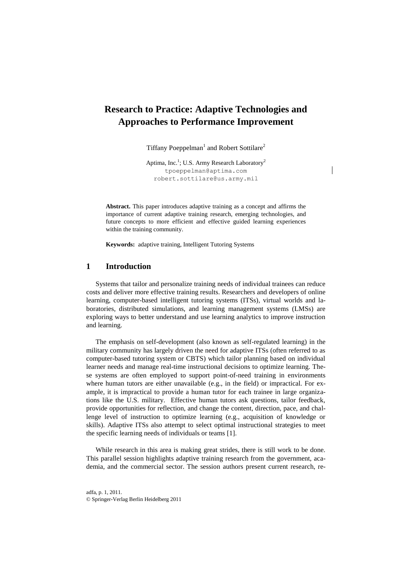# **Research to Practice: Adaptive Technologies and Approaches to Performance Improvement**

Tiffany Poeppelman<sup>1</sup> and Robert Sottilare<sup>2</sup>

Aptima, Inc.<sup>1</sup>; U.S. Army Research Laboratory<sup>2</sup> tpoeppelman@aptima.com robert.sottilare@us.army.mil

**Abstract.** This paper introduces adaptive training as a concept and affirms the importance of current adaptive training research, emerging technologies, and future concepts to more efficient and effective guided learning experiences within the training community.

**Keywords:** adaptive training, Intelligent Tutoring Systems

# **1 Introduction**

Systems that tailor and personalize training needs of individual trainees can reduce costs and deliver more effective training results. Researchers and developers of online learning, computer-based intelligent tutoring systems (ITSs), virtual worlds and laboratories, distributed simulations, and learning management systems (LMSs) are exploring ways to better understand and use learning analytics to improve instruction and learning.

The emphasis on self-development (also known as self-regulated learning) in the military community has largely driven the need for adaptive ITSs (often referred to as computer-based tutoring system or CBTS) which tailor planning based on individual learner needs and manage real-time instructional decisions to optimize learning. These systems are often employed to support point-of-need training in environments where human tutors are either unavailable (e.g., in the field) or impractical. For example, it is impractical to provide a human tutor for each trainee in large organizations like the U.S. military. Effective human tutors ask questions, tailor feedback, provide opportunities for reflection, and change the content, direction, pace, and challenge level of instruction to optimize learning (e.g., acquisition of knowledge or skills). Adaptive ITSs also attempt to select optimal instructional strategies to meet the specific learning needs of individuals or teams [1].

While research in this area is making great strides, there is still work to be done. This parallel session highlights adaptive training research from the government, academia, and the commercial sector. The session authors present current research, re-

adfa, p. 1, 2011. © Springer-Verlag Berlin Heidelberg 2011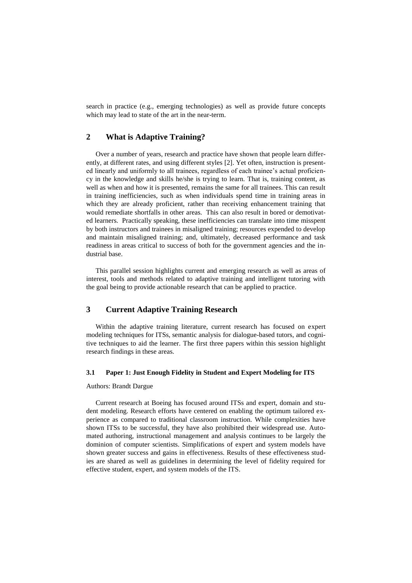search in practice (e.g., emerging technologies) as well as provide future concepts which may lead to state of the art in the near-term.

# **2 What is Adaptive Training?**

Over a number of years, research and practice have shown that people learn differently, at different rates, and using different styles [2]. Yet often, instruction is presented linearly and uniformly to all trainees, regardless of each trainee's actual proficiency in the knowledge and skills he/she is trying to learn. That is, training content, as well as when and how it is presented, remains the same for all trainees. This can result in training inefficiencies, such as when individuals spend time in training areas in which they are already proficient, rather than receiving enhancement training that would remediate shortfalls in other areas. This can also result in bored or demotivated learners. Practically speaking, these inefficiencies can translate into time misspent by both instructors and trainees in misaligned training; resources expended to develop and maintain misaligned training; and, ultimately, decreased performance and task readiness in areas critical to success of both for the government agencies and the industrial base.

This parallel session highlights current and emerging research as well as areas of interest, tools and methods related to adaptive training and intelligent tutoring with the goal being to provide actionable research that can be applied to practice.

# **3 Current Adaptive Training Research**

Within the adaptive training literature, current research has focused on expert modeling techniques for ITSs, semantic analysis for dialogue-based tutors, and cognitive techniques to aid the learner. The first three papers within this session highlight research findings in these areas.

#### **3.1 Paper 1: Just Enough Fidelity in Student and Expert Modeling for ITS**

#### Authors: Brandt Dargue

Current research at Boeing has focused around ITSs and expert, domain and student modeling. Research efforts have centered on enabling the optimum tailored experience as compared to traditional classroom instruction. While complexities have shown ITSs to be successful, they have also prohibited their widespread use. Automated authoring, instructional management and analysis continues to be largely the dominion of computer scientists. Simplifications of expert and system models have shown greater success and gains in effectiveness. Results of these effectiveness studies are shared as well as guidelines in determining the level of fidelity required for effective student, expert, and system models of the ITS.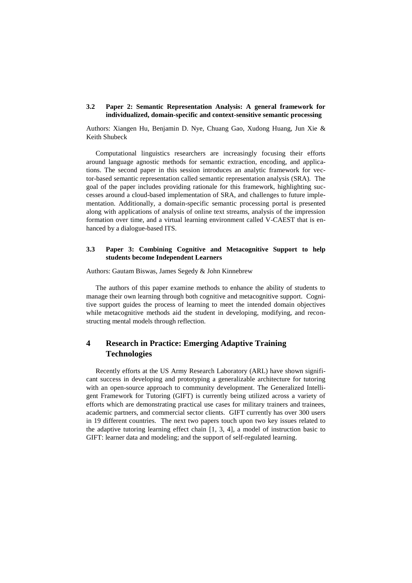#### **3.2 Paper 2: Semantic Representation Analysis: A general framework for individualized, domain-specific and context-sensitive semantic processing**

Authors: Xiangen Hu, Benjamin D. Nye, Chuang Gao, Xudong Huang, Jun Xie & Keith Shubeck

Computational linguistics researchers are increasingly focusing their efforts around language agnostic methods for semantic extraction, encoding, and applications. The second paper in this session introduces an analytic framework for vector-based semantic representation called semantic representation analysis (SRA). The goal of the paper includes providing rationale for this framework, highlighting successes around a cloud-based implementation of SRA, and challenges to future implementation. Additionally, a domain-specific semantic processing portal is presented along with applications of analysis of online text streams, analysis of the impression formation over time, and a virtual learning environment called V-CAEST that is enhanced by a dialogue-based ITS.

#### **3.3 Paper 3: Combining Cognitive and Metacognitive Support to help students become Independent Learners**

Authors: Gautam Biswas, James Segedy & John Kinnebrew

The authors of this paper examine methods to enhance the ability of students to manage their own learning through both cognitive and metacognitive support. Cognitive support guides the process of learning to meet the intended domain objectives while metacognitive methods aid the student in developing, modifying, and reconstructing mental models through reflection.

# **4 Research in Practice: Emerging Adaptive Training Technologies**

Recently efforts at the US Army Research Laboratory (ARL) have shown significant success in developing and prototyping a generalizable architecture for tutoring with an open-source approach to community development. The Generalized Intelligent Framework for Tutoring (GIFT) is currently being utilized across a variety of efforts which are demonstrating practical use cases for military trainers and trainees, academic partners, and commercial sector clients. GIFT currently has over 300 users in 19 different countries. The next two papers touch upon two key issues related to the adaptive tutoring learning effect chain [1, 3, 4], a model of instruction basic to GIFT: learner data and modeling; and the support of self-regulated learning.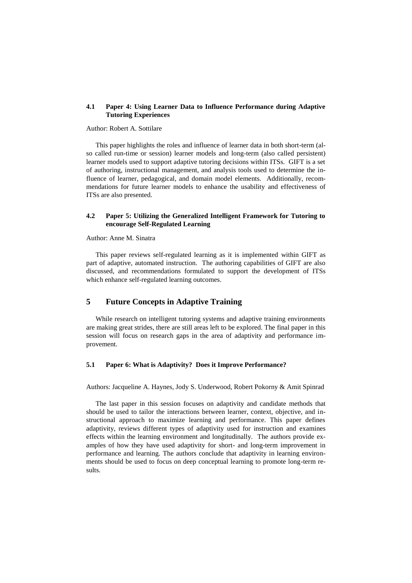#### **4.1 Paper 4: Using Learner Data to Influence Performance during Adaptive Tutoring Experiences**

#### Author: Robert A. Sottilare

This paper highlights the roles and influence of learner data in both short-term (also called run-time or session) learner models and long-term (also called persistent) learner models used to support adaptive tutoring decisions within ITSs. GIFT is a set of authoring, instructional management, and analysis tools used to determine the influence of learner, pedagogical, and domain model elements. Additionally, recommendations for future learner models to enhance the usability and effectiveness of ITSs are also presented.

#### **4.2 Paper 5: Utilizing the Generalized Intelligent Framework for Tutoring to encourage Self-Regulated Learning**

#### Author: Anne M. Sinatra

This paper reviews self-regulated learning as it is implemented within GIFT as part of adaptive, automated instruction. The authoring capabilities of GIFT are also discussed, and recommendations formulated to support the development of ITSs which enhance self-regulated learning outcomes.

# **5 Future Concepts in Adaptive Training**

While research on intelligent tutoring systems and adaptive training environments are making great strides, there are still areas left to be explored. The final paper in this session will focus on research gaps in the area of adaptivity and performance improvement.

#### **5.1 Paper 6: What is Adaptivity? Does it Improve Performance?**

Authors: Jacqueline A. Haynes, Jody S. Underwood, Robert Pokorny & Amit Spinrad

The last paper in this session focuses on adaptivity and candidate methods that should be used to tailor the interactions between learner, context, objective, and instructional approach to maximize learning and performance. This paper defines adaptivity, reviews different types of adaptivity used for instruction and examines effects within the learning environment and longitudinally. The authors provide examples of how they have used adaptivity for short- and long-term improvement in performance and learning. The authors conclude that adaptivity in learning environments should be used to focus on deep conceptual learning to promote long-term results.